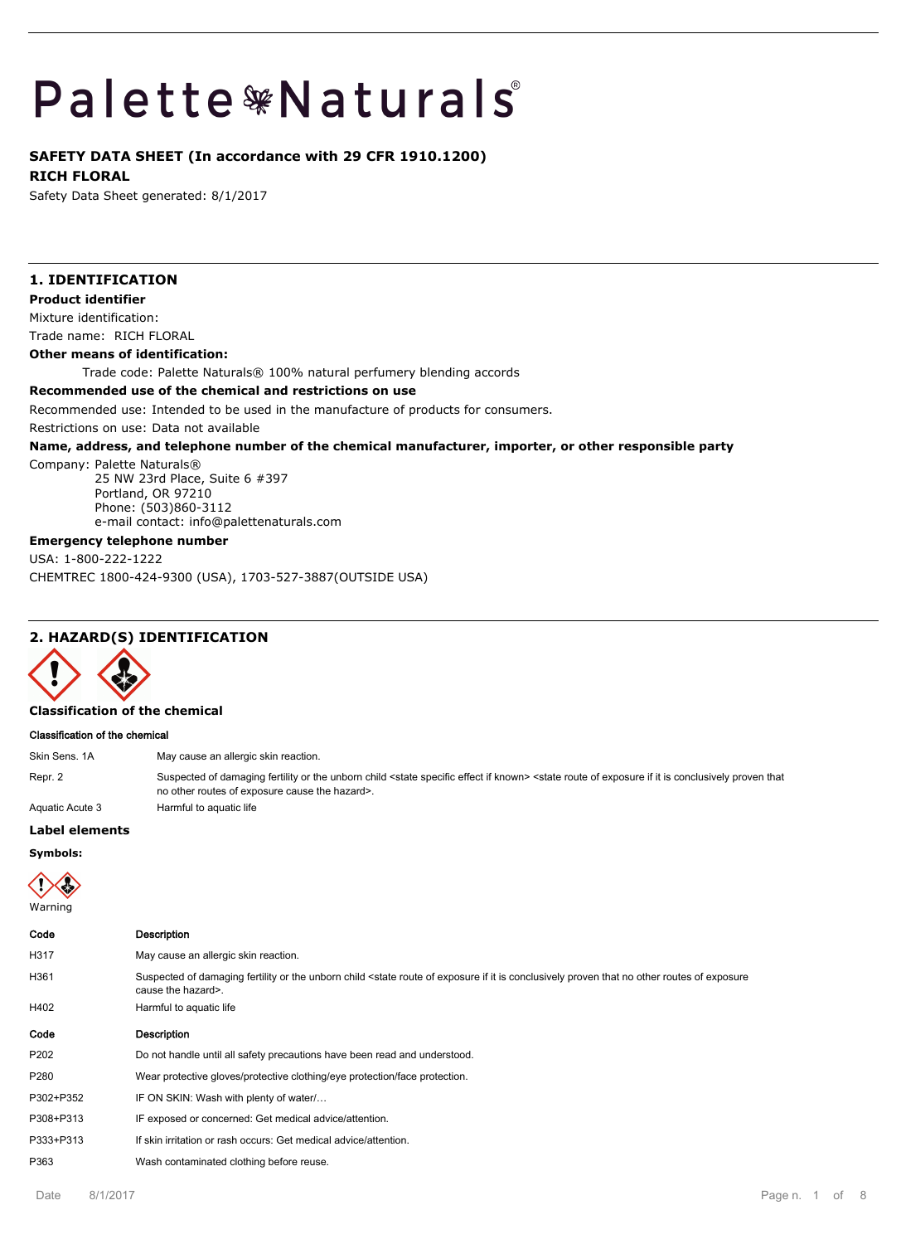# Palette \*Naturals

# **SAFETY DATA SHEET (In accordance with 29 CFR 1910.1200)**

**RICH FLORAL**

Safety Data Sheet generated: 8/1/2017

# **1. IDENTIFICATION Product identifier** Mixture identification: Trade name: RICH FLORAL **Other means of identification:** Trade code: Palette Naturals® 100% natural perfumery blending accords **Recommended use of the chemical and restrictions on use** Recommended use: Intended to be used in the manufacture of products for consumers. Restrictions on use: Data not available **Name, address, and telephone number of the chemical manufacturer, importer, or other responsible party** Company: Palette Naturals® 25 NW 23rd Place, Suite 6 #397 Portland, OR 97210

Phone: (503)860-3112 e-mail contact: info@palettenaturals.com

# **Emergency telephone number**

USA: 1-800-222-1222 CHEMTREC 1800-424-9300 (USA), 1703-527-3887(OUTSIDE USA)

# **2. HAZARD(S) IDENTIFICATION**



#### **Classification of the chemical**

#### **Classification of the chemical**

| Skin Sens. 1A   | May cause an allergic skin reaction.                                                                                                                                                                                                                        |
|-----------------|-------------------------------------------------------------------------------------------------------------------------------------------------------------------------------------------------------------------------------------------------------------|
| Repr. 2         | Suspected of damaging fertility or the unborn child <state effect="" if="" known="" specific=""> <state conclusively="" exposure="" if="" is="" it="" of="" proven="" route="" that<br="">no other routes of exposure cause the hazard&gt;.</state></state> |
| Aquatic Acute 3 | Harmful to aguatic life                                                                                                                                                                                                                                     |

# **Label elements**

**Symbols:**



| Code      | <b>Description</b>                                                                                                                                                                                              |
|-----------|-----------------------------------------------------------------------------------------------------------------------------------------------------------------------------------------------------------------|
| H317      | May cause an allergic skin reaction.                                                                                                                                                                            |
| H361      | Suspected of damaging fertility or the unborn child <state conclusively="" exposure="" exposure<br="" if="" is="" it="" no="" of="" other="" proven="" route="" routes="" that="">cause the hazard&gt;.</state> |
| H402      | Harmful to aquatic life                                                                                                                                                                                         |
| Code      | <b>Description</b>                                                                                                                                                                                              |
| P202      | Do not handle until all safety precautions have been read and understood.                                                                                                                                       |
| P280      | Wear protective gloves/protective clothing/eye protection/face protection.                                                                                                                                      |
| P302+P352 | IF ON SKIN: Wash with plenty of water                                                                                                                                                                           |
| P308+P313 | IF exposed or concerned: Get medical advice/attention.                                                                                                                                                          |
| P333+P313 | If skin irritation or rash occurs: Get medical advice/attention.                                                                                                                                                |
| P363      | Wash contaminated clothing before reuse.                                                                                                                                                                        |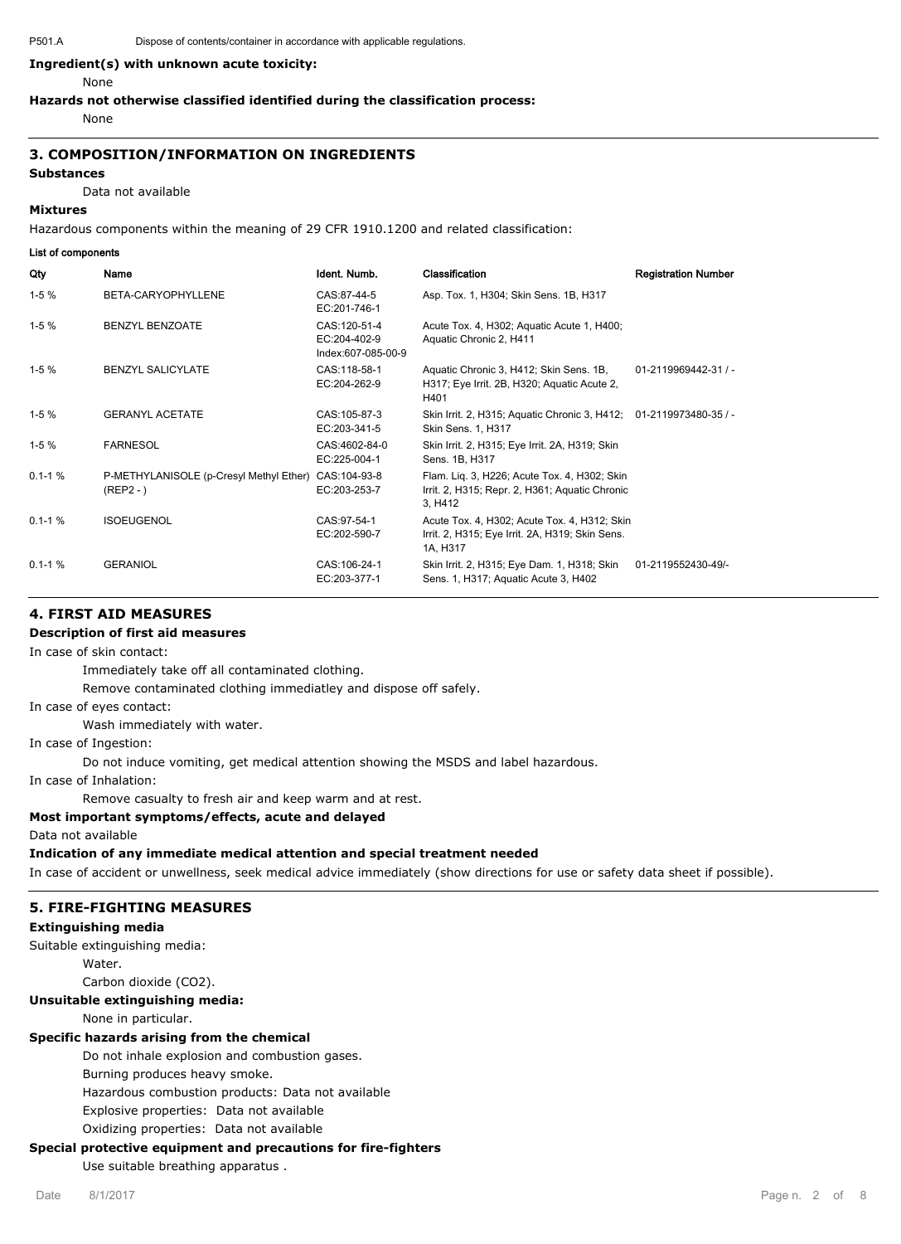# **Ingredient(s) with unknown acute toxicity:**

#### None

#### **Hazards not otherwise classified identified during the classification process:**

None

# **3. COMPOSITION/INFORMATION ON INGREDIENTS**

#### **Substances**

Data not available

#### **Mixtures**

**List of components**

Hazardous components within the meaning of 29 CFR 1910.1200 and related classification:

| שווטעוועטווואט וט ושב |                                                        |                                                    |                                                                                                             |                            |
|-----------------------|--------------------------------------------------------|----------------------------------------------------|-------------------------------------------------------------------------------------------------------------|----------------------------|
| Qty                   | Name                                                   | Ident. Numb.                                       | Classification                                                                                              | <b>Registration Number</b> |
| $1-5%$                | BETA-CARYOPHYLLENE                                     | CAS:87-44-5<br>EC:201-746-1                        | Asp. Tox. 1, H304; Skin Sens. 1B, H317                                                                      |                            |
| $1-5%$                | <b>BENZYL BENZOATE</b>                                 | CAS:120-51-4<br>EC:204-402-9<br>Index:607-085-00-9 | Acute Tox. 4, H302; Aquatic Acute 1, H400;<br>Aquatic Chronic 2, H411                                       |                            |
| $1-5%$                | <b>BENZYL SALICYLATE</b>                               | CAS:118-58-1<br>EC:204-262-9                       | Aquatic Chronic 3, H412; Skin Sens. 1B,<br>H317; Eye Irrit. 2B, H320; Aquatic Acute 2,<br>H401              | 01-2119969442-31 / -       |
| $1-5%$                | <b>GERANYL ACETATE</b>                                 | CAS: 105-87-3<br>EC:203-341-5                      | Skin Irrit. 2, H315; Aquatic Chronic 3, H412; 01-2119973480-35 / -<br>Skin Sens. 1, H317                    |                            |
| $1-5%$                | <b>FARNESOL</b>                                        | CAS:4602-84-0<br>EC:225-004-1                      | Skin Irrit. 2, H315; Eye Irrit. 2A, H319; Skin<br>Sens. 1B, H317                                            |                            |
| $0.1 - 1 %$           | P-METHYLANISOLE (p-Cresyl Methyl Ether)<br>$(REP2 - )$ | CAS:104-93-8<br>EC:203-253-7                       | Flam. Lig. 3, H226; Acute Tox. 4, H302; Skin<br>Irrit. 2, H315; Repr. 2, H361; Aquatic Chronic<br>3, H412   |                            |
| $0.1 - 1 \%$          | <b>ISOEUGENOL</b>                                      | CAS:97-54-1<br>EC:202-590-7                        | Acute Tox. 4, H302; Acute Tox. 4, H312; Skin<br>Irrit. 2, H315; Eye Irrit. 2A, H319; Skin Sens.<br>1A, H317 |                            |
| $0.1 - 1 %$           | <b>GERANIOL</b>                                        | CAS: 106-24-1<br>EC:203-377-1                      | Skin Irrit. 2, H315; Eye Dam. 1, H318; Skin<br>Sens. 1, H317; Aquatic Acute 3, H402                         | 01-2119552430-49/-         |

#### **4. FIRST AID MEASURES**

# **Description of first aid measures**

In case of skin contact:

Immediately take off all contaminated clothing.

Remove contaminated clothing immediatley and dispose off safely.

#### In case of eyes contact:

Wash immediately with water.

In case of Ingestion:

Do not induce vomiting, get medical attention showing the MSDS and label hazardous.

In case of Inhalation:

Remove casualty to fresh air and keep warm and at rest.

# **Most important symptoms/effects, acute and delayed**

Data not available

**Indication of any immediate medical attention and special treatment needed**

In case of accident or unwellness, seek medical advice immediately (show directions for use or safety data sheet if possible).

#### **5. FIRE-FIGHTING MEASURES**

#### **Extinguishing media**

Suitable extinguishing media:

Water

Carbon dioxide (CO2).

#### **Unsuitable extinguishing media:**

None in particular.

#### **Specific hazards arising from the chemical**

Do not inhale explosion and combustion gases.

Burning produces heavy smoke.

Hazardous combustion products: Data not available

Explosive properties: Data not available

Oxidizing properties: Data not available

# **Special protective equipment and precautions for fire-fighters**

Use suitable breathing apparatus .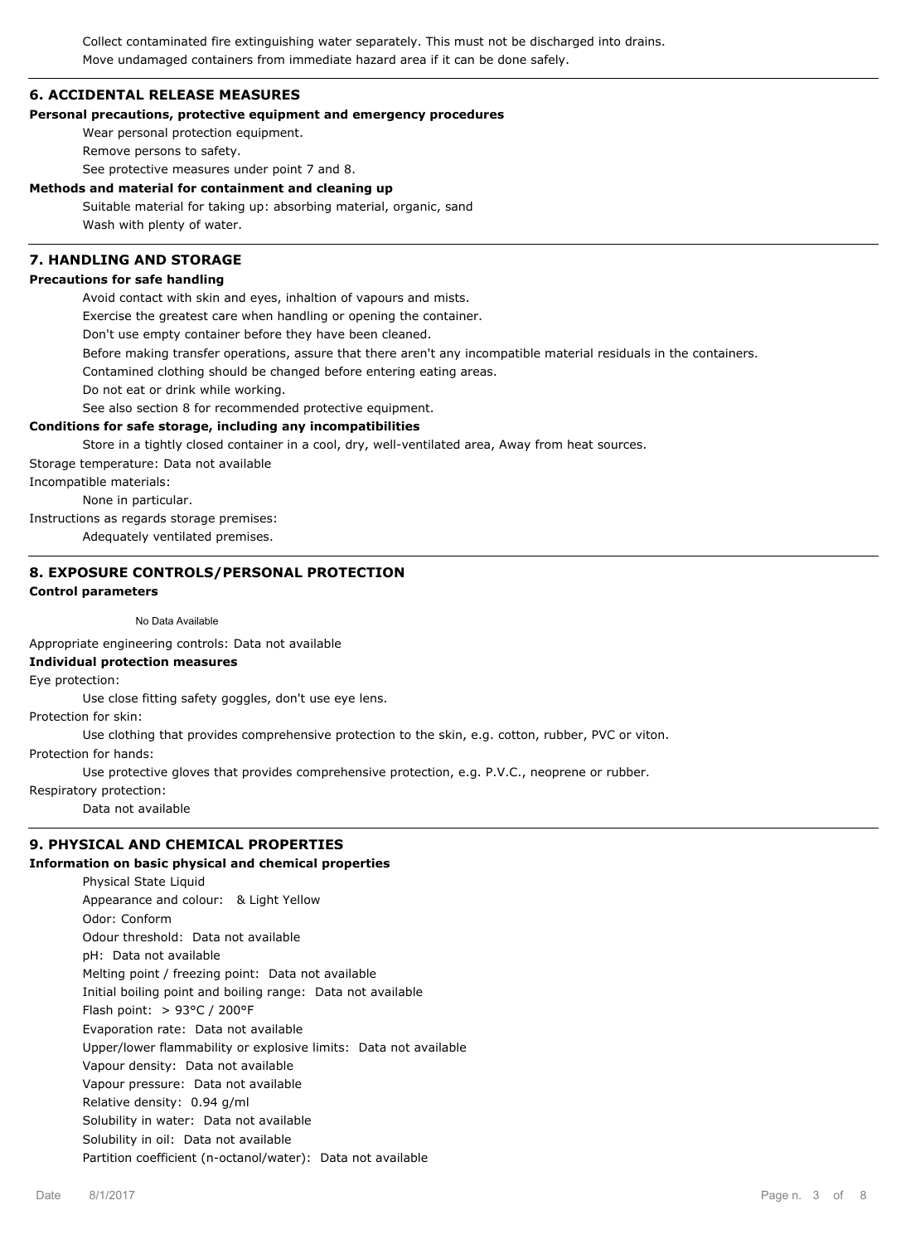Collect contaminated fire extinguishing water separately. This must not be discharged into drains. Move undamaged containers from immediate hazard area if it can be done safely.

#### **6. ACCIDENTAL RELEASE MEASURES**

#### **Personal precautions, protective equipment and emergency procedures**

Wear personal protection equipment.

Remove persons to safety.

See protective measures under point 7 and 8.

#### **Methods and material for containment and cleaning up**

Suitable material for taking up: absorbing material, organic, sand Wash with plenty of water.

#### **7. HANDLING AND STORAGE Precautions for safe handling**

Avoid contact with skin and eyes, inhaltion of vapours and mists.

Exercise the greatest care when handling or opening the container.

Don't use empty container before they have been cleaned.

Before making transfer operations, assure that there aren't any incompatible material residuals in the containers.

Contamined clothing should be changed before entering eating areas.

Do not eat or drink while working.

See also section 8 for recommended protective equipment.

#### **Conditions for safe storage, including any incompatibilities**

Store in a tightly closed container in a cool, dry, well-ventilated area, Away from heat sources.

Storage temperature: Data not available

Incompatible materials:

None in particular.

Instructions as regards storage premises:

Adequately ventilated premises.

# **8. EXPOSURE CONTROLS/PERSONAL PROTECTION**

# **Control parameters**

#### No Data Available

Appropriate engineering controls: Data not available

# **Individual protection measures**

Eye protection:

Use close fitting safety goggles, don't use eye lens.

Protection for skin:

Use clothing that provides comprehensive protection to the skin, e.g. cotton, rubber, PVC or viton.

Protection for hands:

Use protective gloves that provides comprehensive protection, e.g. P.V.C., neoprene or rubber.

Respiratory protection:

Data not available

# **9. PHYSICAL AND CHEMICAL PROPERTIES**

# **Information on basic physical and chemical properties**

Physical State Liquid Appearance and colour: & Light Yellow Odor: Conform Odour threshold: Data not available pH: Data not available Melting point / freezing point: Data not available Initial boiling point and boiling range: Data not available Flash point: > 93°C / 200°F Evaporation rate: Data not available Upper/lower flammability or explosive limits: Data not available Vapour density: Data not available Vapour pressure: Data not available Relative density: 0.94 g/ml Solubility in water: Data not available Solubility in oil: Data not available Partition coefficient (n-octanol/water): Data not available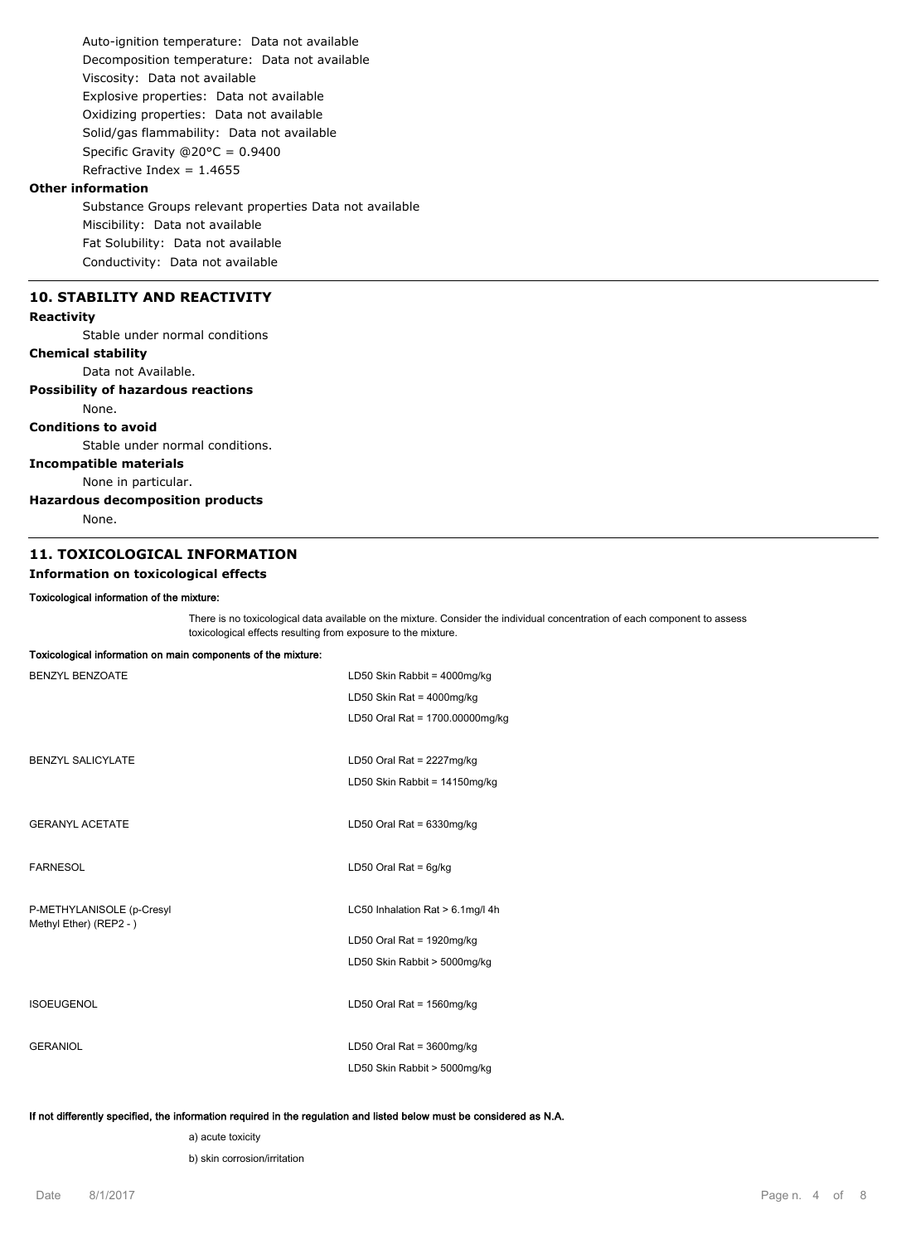Auto-ignition temperature: Data not available Decomposition temperature: Data not available Viscosity: Data not available Explosive properties: Data not available Oxidizing properties: Data not available Solid/gas flammability: Data not available Specific Gravity @20°C = 0.9400 Refractive Index =  $1.4655$ 

# **Other information**

Substance Groups relevant properties Data not available Miscibility: Data not available Fat Solubility: Data not available Conductivity: Data not available

# **10. STABILITY AND REACTIVITY**

# **Reactivity**

Stable under normal conditions

#### **Chemical stability**

Data not Available.

#### **Possibility of hazardous reactions**

None.

#### **Conditions to avoid**

Stable under normal conditions.

# **Incompatible materials**

None in particular.

# **Hazardous decomposition products**

None.

# **11. TOXICOLOGICAL INFORMATION**

**Toxicological information on main components of the mixture:**

# **Information on toxicological effects**

#### **Toxicological information of the mixture:**

There is no toxicological data available on the mixture. Consider the individual concentration of each component to assess toxicological effects resulting from exposure to the mixture.

| resueciegical information on main comp |                                  |
|----------------------------------------|----------------------------------|
| <b>BENZYL BENZOATE</b>                 | LD50 Skin Rabbit = 4000mg/kg     |
|                                        | LD50 Skin Rat = $4000$ mg/kg     |
|                                        | LD50 Oral Rat = 1700.00000mg/kg  |
|                                        |                                  |
| <b>BENZYL SALICYLATE</b>               | LD50 Oral Rat = 2227mg/kg        |
|                                        | LD50 Skin Rabbit = 14150mg/kg    |
|                                        |                                  |
| <b>GERANYL ACETATE</b>                 | LD50 Oral Rat = $6330$ mg/kg     |
|                                        |                                  |
| <b>FARNESOL</b>                        | LD50 Oral Rat = $6g/kg$          |
|                                        |                                  |
| P-METHYLANISOLE (p-Cresyl              | LC50 Inhalation Rat > 6.1mg/l 4h |
| Methyl Ether) (REP2 - )                | LD50 Oral Rat = 1920mg/kg        |
|                                        | LD50 Skin Rabbit > 5000mg/kg     |
|                                        |                                  |
| <b>ISOEUGENOL</b>                      | LD50 Oral Rat = 1560mg/kg        |
|                                        |                                  |
| <b>GERANIOL</b>                        | LD50 Oral Rat = $3600$ mg/kg     |
|                                        | LD50 Skin Rabbit > 5000mg/kg     |
|                                        |                                  |

#### **If not differently specified, the information required in the regulation and listed below must be considered as N.A.**

a) acute toxicity

b) skin corrosion/irritation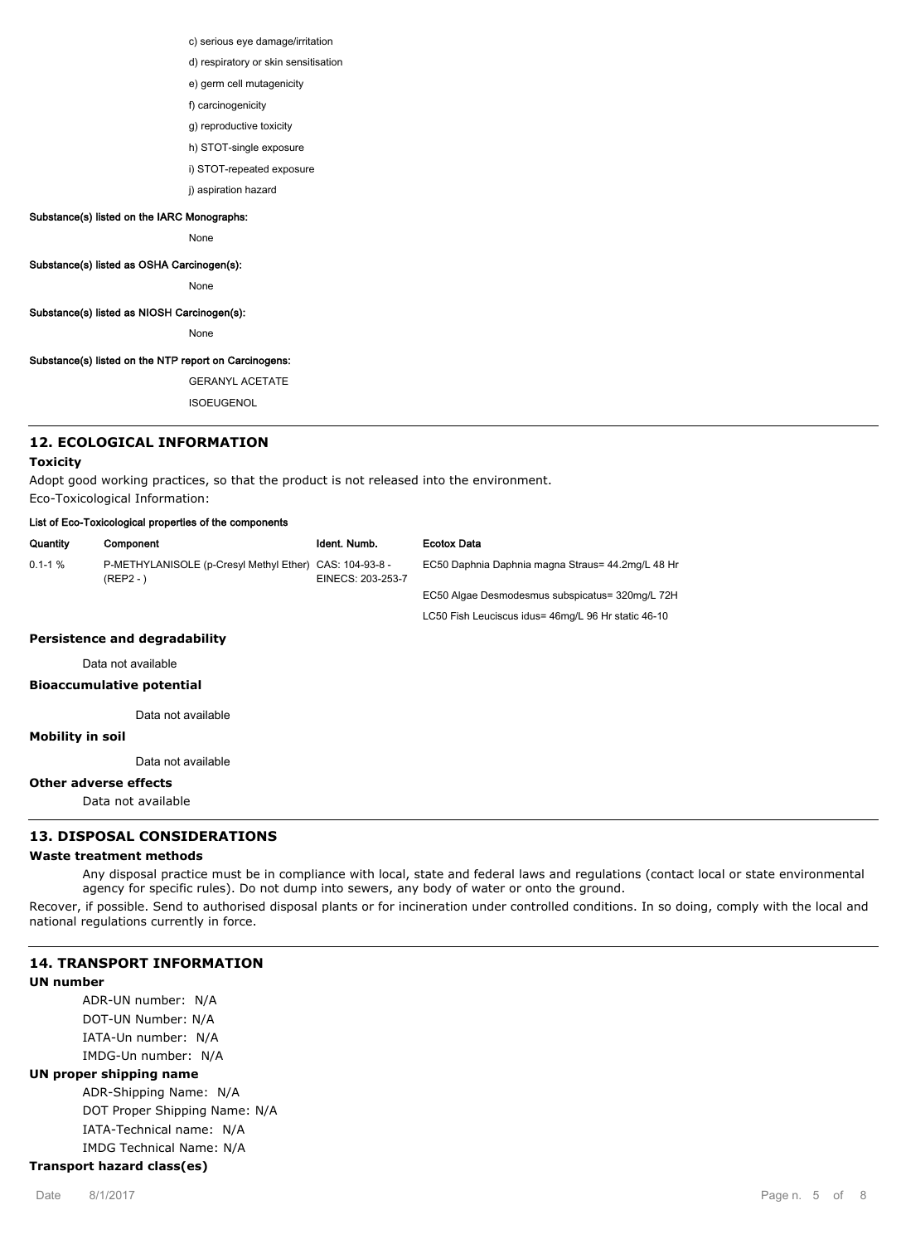c) serious eye damage/irritation

- d) respiratory or skin sensitisation
- e) germ cell mutagenicity
- f) carcinogenicity
- g) reproductive toxicity
- h) STOT-single exposure
- i) STOT-repeated exposure
- j) aspiration hazard

# **Substance(s) listed on the IARC Monographs:**

None

**Substance(s) listed as OSHA Carcinogen(s):**

None

#### **Substance(s) listed as NIOSH Carcinogen(s):**

None

# **Substance(s) listed on the NTP report on Carcinogens:**

GERANYL ACETATE

ISOEUGENOL

# **12. ECOLOGICAL INFORMATION**

#### **Toxicity**

Adopt good working practices, so that the product is not released into the environment. Eco-Toxicological Information:

#### **List of Eco-Toxicological properties of the components**

| Quantity     | Component                                              | Ident. Numb.                         | <b>Ecotox Data</b>                                  |
|--------------|--------------------------------------------------------|--------------------------------------|-----------------------------------------------------|
| $0.1 - 1 \%$ | P-METHYLANISOLE (p-Cresyl Methyl Ether)<br>$(REP2 - )$ | CAS: 104-93-8 -<br>EINECS: 203-253-7 | EC50 Daphnia Daphnia magna Straus= 44.2mg/L 48 Hr   |
|              |                                                        |                                      | EC50 Algae Desmodesmus subspicatus= 320mg/L 72H     |
|              |                                                        |                                      | LC50 Fish Leuciscus idus= 46mg/L 96 Hr static 46-10 |
|              |                                                        |                                      |                                                     |

# **Persistence and degradability**

Data not available

#### **Bioaccumulative potential**

Data not available

#### **Mobility in soil**

Data not available

# **Other adverse effects**

Data not available

# **13. DISPOSAL CONSIDERATIONS**

#### **Waste treatment methods**

Any disposal practice must be in compliance with local, state and federal laws and regulations (contact local or state environmental agency for specific rules). Do not dump into sewers, any body of water or onto the ground.

Recover, if possible. Send to authorised disposal plants or for incineration under controlled conditions. In so doing, comply with the local and national regulations currently in force.

# **14. TRANSPORT INFORMATION**

#### **UN number**

ADR-UN number: N/A DOT-UN Number: N/A IATA-Un number: N/A IMDG-Un number: N/A

# **UN proper shipping name**

ADR-Shipping Name: N/A DOT Proper Shipping Name: N/A IATA-Technical name: N/A IMDG Technical Name: N/A

# **Transport hazard class(es)**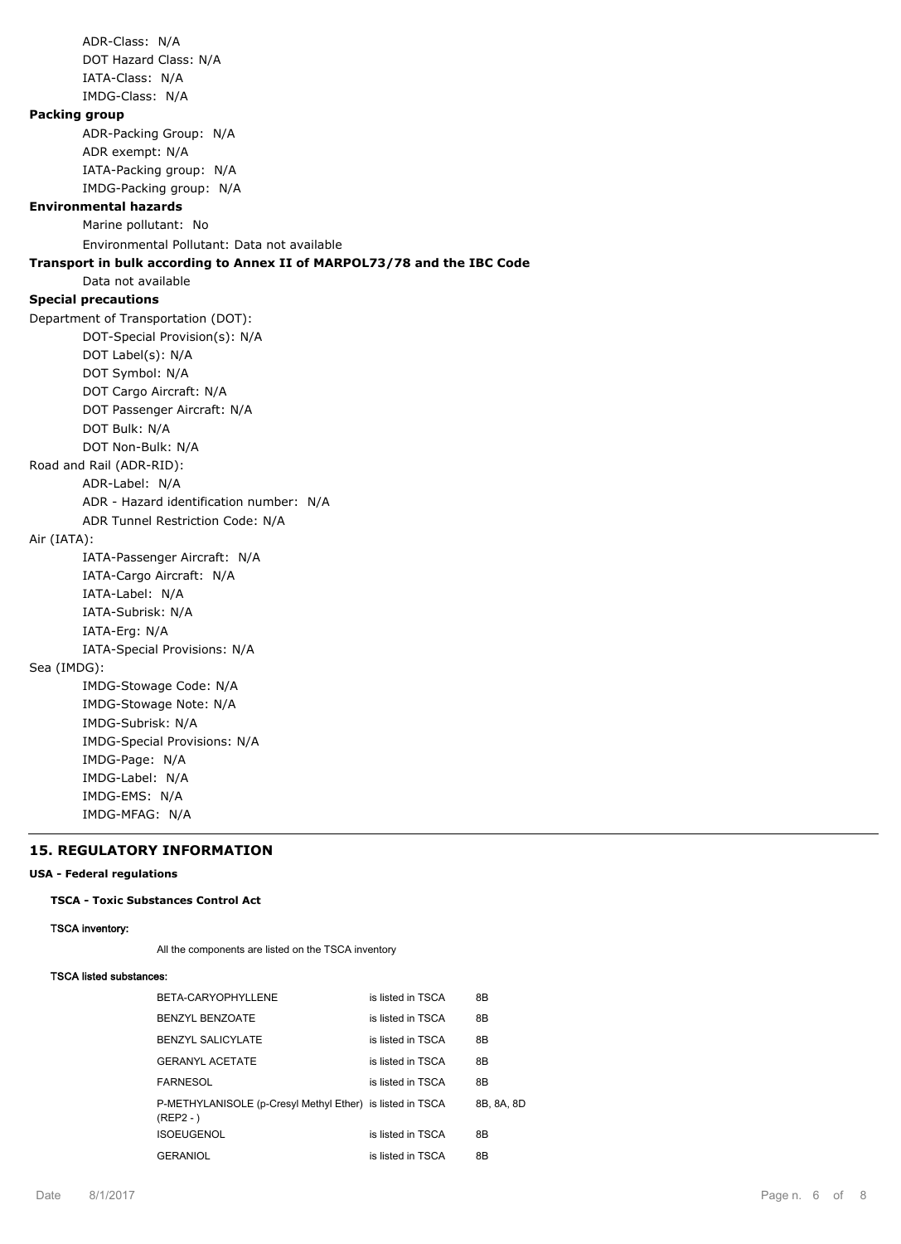ADR-Class: N/A DOT Hazard Class: N/A IATA-Class: N/A IMDG-Class: N/A **Packing group** ADR-Packing Group: N/A ADR exempt: N/A IATA-Packing group: N/A IMDG-Packing group: N/A **Environmental hazards** Marine pollutant: No Environmental Pollutant: Data not available **Transport in bulk according to Annex II of MARPOL73/78 and the IBC Code** Data not available **Special precautions** Department of Transportation (DOT): DOT-Special Provision(s): N/A DOT Label(s): N/A DOT Symbol: N/A DOT Cargo Aircraft: N/A DOT Passenger Aircraft: N/A DOT Bulk: N/A DOT Non-Bulk: N/A Road and Rail (ADR-RID): ADR-Label: N/A ADR - Hazard identification number: N/A ADR Tunnel Restriction Code: N/A Air (IATA): IATA-Passenger Aircraft: N/A IATA-Cargo Aircraft: N/A IATA-Label: N/A IATA-Subrisk: N/A IATA-Erg: N/A IATA-Special Provisions: N/A Sea (IMDG): IMDG-Stowage Code: N/A IMDG-Stowage Note: N/A IMDG-Subrisk: N/A IMDG-Special Provisions: N/A IMDG-Page: N/A IMDG-Label: N/A IMDG-EMS: N/A IMDG-MFAG: N/A

# **15. REGULATORY INFORMATION**

#### **USA - Federal regulations**

# **TSCA - Toxic Substances Control Act**

# **TSCA inventory:**

All the components are listed on the TSCA inventory

# **TSCA listed substances:**

| <b>BETA-CARYOPHYLLENE</b>                                                | is listed in TSCA | 8B         |
|--------------------------------------------------------------------------|-------------------|------------|
| <b>BENZYL BENZOATE</b>                                                   | is listed in TSCA | 8B         |
| <b>BENZYL SALICYLATE</b>                                                 | is listed in TSCA | 8B         |
| GERANYI ACETATE                                                          | is listed in TSCA | 8B         |
| <b>FARNESOL</b>                                                          | is listed in TSCA | 8B         |
| P-METHYLANISOLE (p-Cresyl Methyl Ether) is listed in TSCA<br>$(REP2 - )$ |                   | 8B. 8A. 8D |
| <b>ISOEUGENOL</b>                                                        | is listed in TSCA | 8B         |
| <b>GERANIOL</b>                                                          | is listed in TSCA | 8Β         |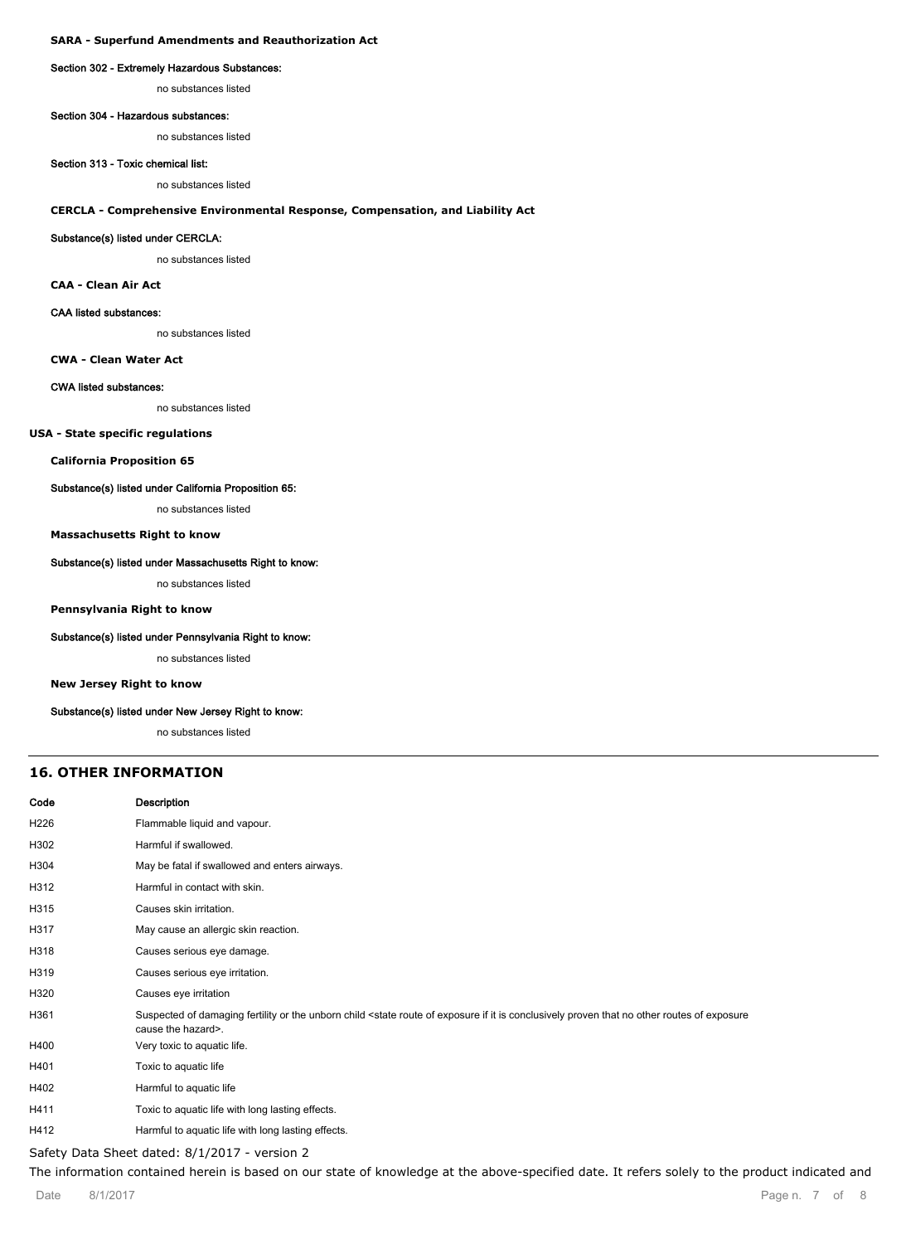#### **SARA - Superfund Amendments and Reauthorization Act**

#### **Section 302 - Extremely Hazardous Substances:**

no substances listed

#### **Section 304 - Hazardous substances:**

no substances listed

#### **Section 313 - Toxic chemical list:**

no substances listed

#### **CERCLA - Comprehensive Environmental Response, Compensation, and Liability Act**

#### **Substance(s) listed under CERCLA:**

no substances listed

#### **CAA - Clean Air Act**

#### **CAA listed substances:**

no substances listed

**CWA - Clean Water Act**

#### **CWA listed substances:**

no substances listed

#### **USA - State specific regulations**

**California Proposition 65**

#### **Substance(s) listed under California Proposition 65:**

no substances listed

#### **Massachusetts Right to know**

#### **Substance(s) listed under Massachusetts Right to know:**

no substances listed

#### **Pennsylvania Right to know**

#### **Substance(s) listed under Pennsylvania Right to know:**

no substances listed

#### **New Jersey Right to know**

#### **Substance(s) listed under New Jersey Right to know:**

no substances listed

#### **16. OTHER INFORMATION**

| Code             | <b>Description</b>                                                                                                                                                                                              |
|------------------|-----------------------------------------------------------------------------------------------------------------------------------------------------------------------------------------------------------------|
| H <sub>226</sub> | Flammable liquid and vapour.                                                                                                                                                                                    |
| H302             | Harmful if swallowed.                                                                                                                                                                                           |
| H304             | May be fatal if swallowed and enters airways.                                                                                                                                                                   |
| H312             | Harmful in contact with skin.                                                                                                                                                                                   |
| H315             | Causes skin irritation.                                                                                                                                                                                         |
| H317             | May cause an allergic skin reaction.                                                                                                                                                                            |
| H318             | Causes serious eye damage.                                                                                                                                                                                      |
| H319             | Causes serious eye irritation.                                                                                                                                                                                  |
| H320             | Causes eye irritation                                                                                                                                                                                           |
| H361             | Suspected of damaging fertility or the unborn child <state conclusively="" exposure="" exposure<br="" if="" is="" it="" no="" of="" other="" proven="" route="" routes="" that="">cause the hazard&gt;.</state> |
| H400             | Very toxic to aquatic life.                                                                                                                                                                                     |
| H401             | Toxic to aquatic life                                                                                                                                                                                           |
| H402             | Harmful to aquatic life                                                                                                                                                                                         |
| H411             | Toxic to aquatic life with long lasting effects.                                                                                                                                                                |
| H412             | Harmful to aquatic life with long lasting effects.                                                                                                                                                              |

#### Safety Data Sheet dated: 8/1/2017 - version 2

The information contained herein is based on our state of knowledge at the above-specified date. It refers solely to the product indicated and